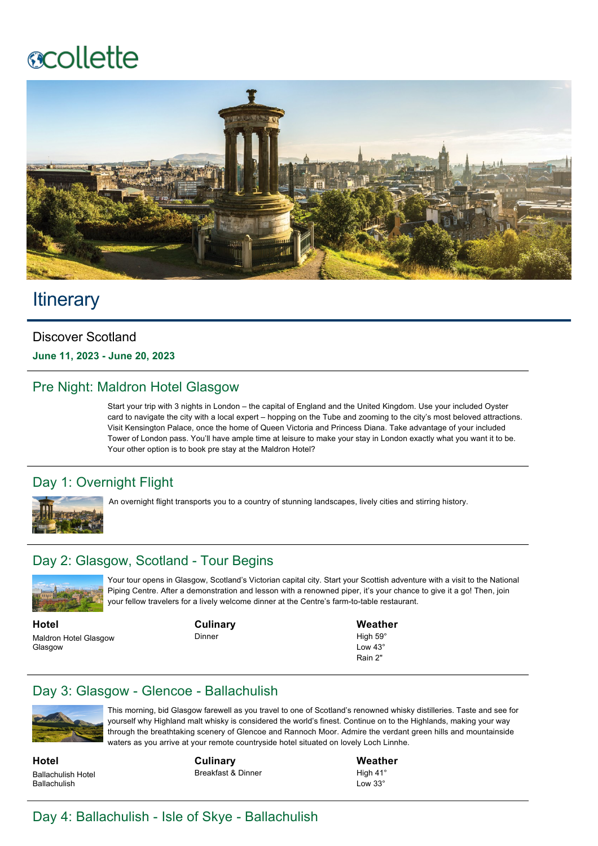# **ecollette**



# **Itinerary**

#### Discover Scotland

**June 11, 2023 - June 20, 2023**

#### Pre Night: Maldron Hotel Glasgow

Start your trip with 3 nights in London – the capital of England and the United Kingdom. Use your included Oyster card to navigate the city with a local expert – hopping on the Tube and zooming to the city's most beloved attractions. Visit Kensington Palace, once the home of Queen Victoria and Princess Diana. Take advantage of your included Tower of London pass. You'll have ample time at leisure to make your stay in London exactly what you want it to be. Your other option is to book pre stay at the Maldron Hotel?

#### Day 1: Overnight Flight



An overnight flight transports you to a country of stunning landscapes, lively cities and stirring history.

#### Day 2: Glasgow, Scotland - Tour Begins



Your tour opens in Glasgow, Scotland's Victorian capital city. Start your Scottish adventure with a visit to the National Piping Centre. After a demonstration and lesson with a renowned piper, it's your chance to give it a go! Then, join your fellow travelers for a lively welcome dinner at the Centre's farm-to-table restaurant.

**Hotel** Maldron Hotel Glasgow **Glasgow** 

**Culinary** Dinner

**Weather**

High  $59^\circ$  $Low 43°$ Rain 2"

#### Day 3: Glasgow - Glencoe - Ballachulish



This morning, bid Glasgow farewell as you travel to one of Scotland's renowned whisky distilleries. Taste and see for yourself why Highland malt whisky is considered the world's finest. Continue on to the Highlands, making your way through the breathtaking scenery of Glencoe and Rannoch Moor. Admire the verdant green hills and mountainside waters as you arrive at your remote countryside hotel situated on lovely Loch Linnhe.

**Hotel** Ballachulish Hotel Ballachulish

**Culinary** Breakfast & Dinner

**Weather** High 41° Low 33°

## Day 4: Ballachulish - Isle of Skye - Ballachulish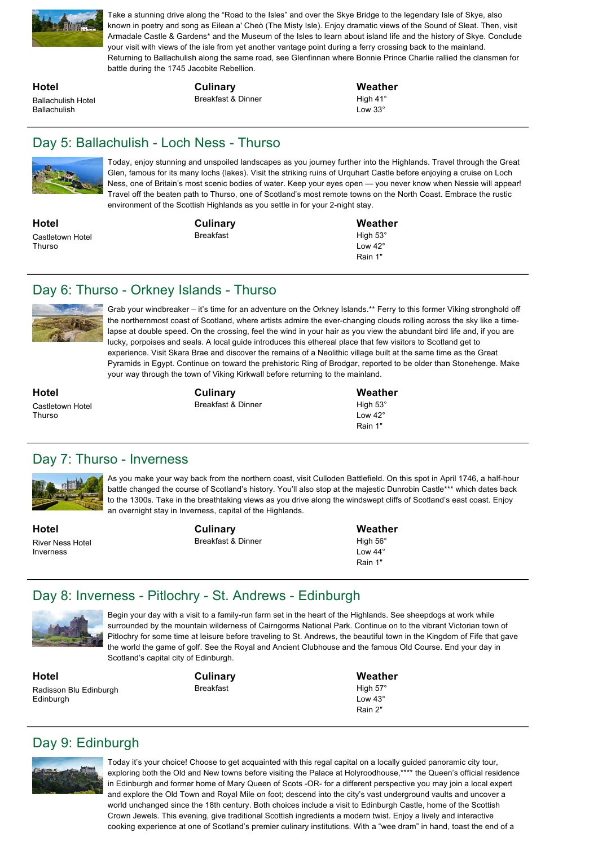

Take a stunning drive along the "Road to the Isles" and over the Skye Bridge to the legendary Isle of Skye, also known in poetry and song as Eilean a' Cheò (The Misty Isle). Enjoy dramatic views of the Sound of Sleat. Then, visit Armadale Castle & Gardens\* and the Museum of the Isles to learn about island life and the history of Skye. Conclude your visit with views of the isle from yet another vantage point during a ferry crossing back to the mainland. Returning to Ballachulish along the same road, see Glenfinnan where Bonnie Prince Charlie rallied the clansmen for battle during the 1745 Jacobite Rebellion.

**Hotel** Ballachulish Hotel Ballachulish

**Culinary**

Breakfast & Dinner

**Weather** High 41° Low 33°

#### Day 5: Ballachulish - Loch Ness - Thurso



Today, enjoy stunning and unspoiled landscapes as you journey further into the Highlands. Travel through the Great Glen, famous for its many lochs (lakes). Visit the striking ruins of Urquhart Castle before enjoying a cruise on Loch Ness, one of Britain's most scenic bodies of water. Keep your eyes open — you never know when Nessie will appear! Travel off the beaten path to Thurso, one of Scotland's most remote towns on the North Coast. Embrace the rustic environment of the Scottish Highlands as you settle in for your 2-night stay.

**Hotel** Castletown Hotel **Thurso** 

**Culinary** Breakfast

**Weather** High 53° Low  $42^\circ$ Rain 1"

#### Day 6: Thurso - Orkney Islands - Thurso



Grab your windbreaker – it's time for an adventure on the Orkney Islands.\*\* Ferry to this former Viking stronghold off the northernmost coast of Scotland, where artists admire the everchanging clouds rolling across the sky like a timelapse at double speed. On the crossing, feel the wind in your hair as you view the abundant bird life and, if you are lucky, porpoises and seals. A local quide introduces this ethereal place that few visitors to Scotland get to experience. Visit Skara Brae and discover the remains of a Neolithic village built at the same time as the Great Pyramids in Egypt. Continue on toward the prehistoric Ring of Brodgar, reported to be older than Stonehenge. Make your way through the town of Viking Kirkwall before returning to the mainland.

**Hotel** Castletown Hotel **Thurso** 

**Culinary** Breakfast & Dinner **Weather** High 53° Low 42° Rain 1"

#### Day 7: Thurso - Inverness



As you make your way back from the northern coast, visit Culloden Battlefield. On this spot in April 1746, a half-hour battle changed the course of Scotland's history. You'll also stop at the majestic Dunrobin Castle\*\*\* which dates back to the 1300s. Take in the breathtaking views as you drive along the windswept cliffs of Scotland's east coast. Enjoy an overnight stay in Inverness, capital of the Highlands.

**Hotel** River Ness Hotel Inverness

**Culinary** Breakfast & Dinner **Weather** High 56°  $L$ ow 44 $\degree$ Rain 1"

#### Day 8: Inverness - Pitlochry - St. Andrews - Edinburgh



Begin your day with a visit to a family-run farm set in the heart of the Highlands. See sheepdogs at work while surrounded by the mountain wilderness of Cairngorms National Park. Continue on to the vibrant Victorian town of Pitlochry for some time at leisure before traveling to St. Andrews, the beautiful town in the Kingdom of Fife that gave the world the game of golf. See the Royal and Ancient Clubhouse and the famous Old Course. End your day in Scotland's capital city of Edinburgh.

**Hotel** Radisson Blu Edinburgh Edinburgh

**Culinary** Breakfast

**Weather** High 57° Low 43° Rain 2"

## Day 9: Edinburgh



Today it's your choice! Choose to get acquainted with this regal capital on a locally guided panoramic city tour, exploring both the Old and New towns before visiting the Palace at Holyroodhouse,\*\*\*\* the Queen's official residence in Edinburgh and former home of Mary Queen of Scots -OR- for a different perspective you may join a local expert and explore the Old Town and Royal Mile on foot; descend into the city's vast underground vaults and uncover a world unchanged since the 18th century. Both choices include a visit to Edinburgh Castle, home of the Scottish Crown Jewels. This evening, give traditional Scottish ingredients a modern twist. Enjoy a lively and interactive cooking experience at one of Scotland's premier culinary institutions. With a "wee dram" in hand, toast the end of a